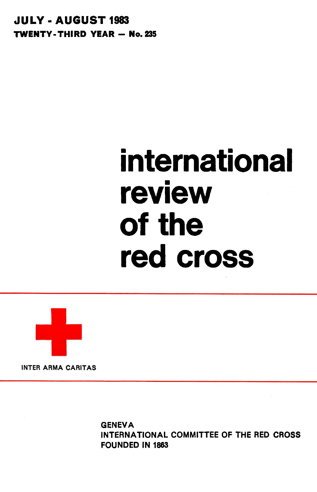**JULY-AUGUST 1983 TWENTY-THIRD YEAR - No. 235** 

# **international review of the red cross**



**INTER ARMA CARITAS**

**GENEVA** INTERNATIONAL COMMITTEE OF THE RED CROSS FOUNDED IN 1863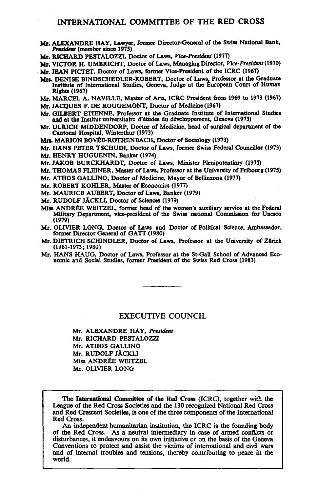### **INTERNATIONAL COMMITTEE OF THE RED CROSS**

- Mr. ALEXANDRE HAY, Lawyer, former Director-General of the Swiss National Bank, *President* (member since 1975)
- Mr. RICHARD PESTALOZZI, Doctor of Laws, *Vice-President* (1977)

Mr. VICTOR H. UMBRICHT, Doctor of Laws, Managing Director, *Vice-President* (1970) Mr. JEAN PICTET, Doctor of Laws, former Vice-President of the ICRC (1967)

MM. DENISE BINDSCHEDLER-ROBERT, Doctor of Laws, Professor at the Graduate Institute of International Studies, Geneva, Judge at the European Court of Human

Mr. MARCEL A. NAVILLE, Master of Arts, ICRC President from 1969 to 1973 (1967)

- Mr. JACOUES F. DE ROUGEMONT, Doctor of Medicine (1967)
- Mr. GILBERT ETIENNE, Professor at the Graduate Institute of International Studies and at the Institut universitaire d'études du développement, Geneva (1973)
- Mr. ULRICH MIDDENDORP, Doctor of Medicine, head of surgical department of the Cantonal Hospital, Winterthur (1973)
- Mrs. MARION BOVÉE-ROTHENBACH, Doctor of Sociology (1973)
- Mr. HANS PETER TSCHUDI, Doctor of Laws. former Swiss Federal Councillor (1973) Mr. HENRY HUGUENIN, Banker (1974)

Mr. JAKOB BURCKHARDT, Doctor of Laws, Minister Plenipotentiary (1975)

- Mr. THOMAS FLEINER. Master of Laws, Professor at the University of Fribourg (1975)
- Mr. ATHOS GALLINO. Doctor of Medicine. Mayor of Bellinzona (1977)

Mr. ROBERT KOHLER, Master of Economics (1977)

- Mr. MAURICE AUBERT, Doctor of Laws, Banker (1979)
- Mr. RUDOLF JÄCKLI, Doctor of Sciences (1979)
- Miss ANDRÉE WEITZEL, former head of the women's auxiliary service at the Federal Military Department, vice-president of the Swiss national Commission for Unesco  $(1979)$  Department, vice-president of the Swiss national Commission for Unesconditional Commission for Unescondition for Unescondition for Unescondition for Unescondition for Unescondition for Unescondition for Unescondi
- Mr. OLIVIER LONG, Doctor of Laws and Doctor of Political Science, Ambassador, former Director General of GATT (1980)
- Mr. DIETRICH SCHINDLER, Doctor of Laws, Professor at the University of Zürich (1961-1973; 1980)
- Mr. HANS HAUG, Doctor of Laws, Professor at the St-Gall School of Advanced Eco-Mr. HANS HAUG, Doctor of Laws, Professor at the St-Gall School of Advanced Eco-<br>nomic and Social Studies, former President of the Swiss Red Cross (1983)

#### **EXECUTIVE COUNCIL**

Mr. ALEXANDRE HAY, *President* Mr. RICHARD PESTALOZZI Mr. ATHOS GALLINO Mr. RUDOLF JACKLI Miss ANDREE WEITZEL Mr. OLIVIER LONG

The International Committee of the Red Cross (ICRC), together with the League of the Red Cross Societies and the 130 recognized National Red Cross and Red Crescent Societies, is one of the three components of the Internati

Red Cross.<br>An independent humanitarian institution, the ICRC is the founding body<br>of the Red Cross. As a neutral intermediary in case of armed conflicts or<br>disturbances, it endeavours on its own initiative or on the basis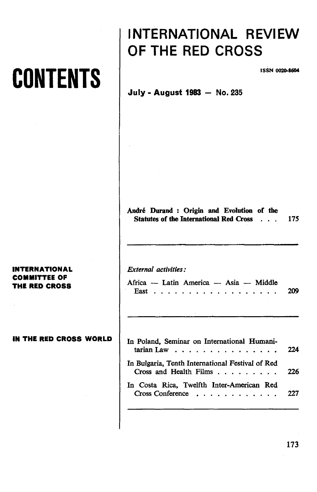## **CONTENTS**

## **INTERNATIONAL REVIEW OF THE RED CROSS**

**ISSN 0020-8604**

## **July - August 1983 - No. 235**

**Andre ' Duran d : Origi n an d Evolutio n o f th <sup>e</sup> Statute s o f th e Internationa l Re d Cros s .. . 17 5**

## *External activities:*

| Africa — Latin America — Asia — Middle |  |  |  |  |  |  |  |  |  |     |
|----------------------------------------|--|--|--|--|--|--|--|--|--|-----|
|                                        |  |  |  |  |  |  |  |  |  | 209 |

| In Poland, Seminar on International Humani-<br>tarian Law $\ldots$ 224                                |     |
|-------------------------------------------------------------------------------------------------------|-----|
| In Bulgaria, Tenth International Festival of Red<br>Cross and Health Films $\ldots$ $\ldots$ $\ldots$ | 226 |
| In Costa Rica, Twelfth Inter-American Red<br>Cross Conference $\ldots$ $\ldots$ $\ldots$ $\ldots$ 227 |     |

## **INTERNATIONAL COMMITTEE OF THE RED CROSS**

**IN THE RED CROSS WORLD**